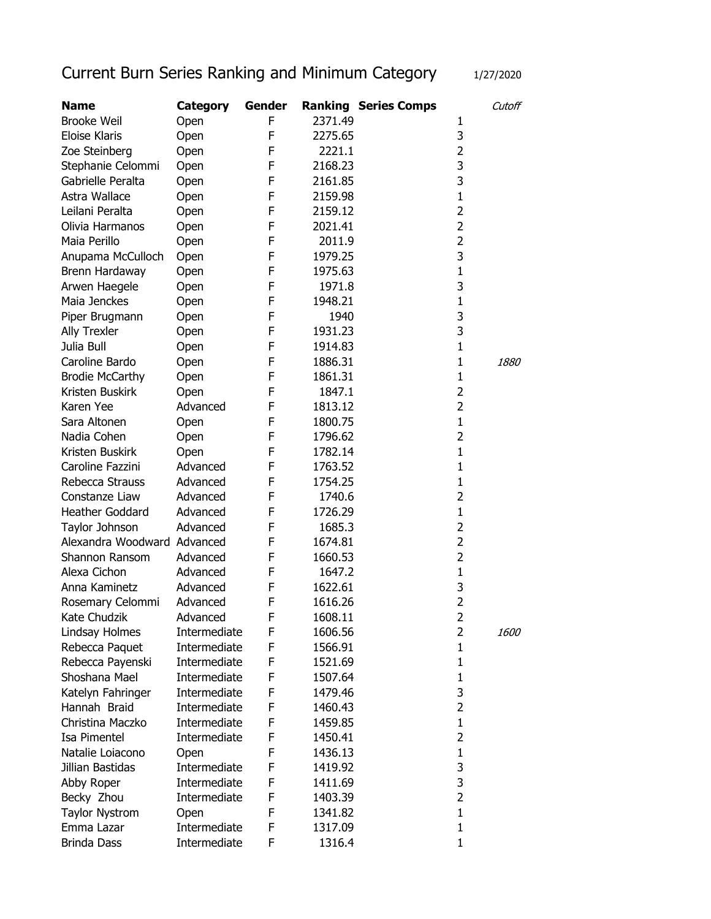## Current Burn Series Ranking and Minimum Category 1/27/2020

| <b>Name</b>                 | Category     | Gender |         | <b>Ranking Series Comps</b> |                | Cutoff      |
|-----------------------------|--------------|--------|---------|-----------------------------|----------------|-------------|
| <b>Brooke Weil</b>          | Open         | F      | 2371.49 |                             | 1              |             |
| Eloise Klaris               | Open         | F      | 2275.65 |                             | 3              |             |
| Zoe Steinberg               | Open         | F      | 2221.1  |                             | 2              |             |
| Stephanie Celommi           | Open         | F      | 2168.23 |                             | 3              |             |
| Gabrielle Peralta           | Open         | F      | 2161.85 |                             | 3              |             |
| Astra Wallace               | Open         | F      | 2159.98 |                             | $\mathbf{1}$   |             |
| Leilani Peralta             | Open         | F      | 2159.12 |                             | 2              |             |
| Olivia Harmanos             | Open         | F      | 2021.41 |                             | 2              |             |
| Maia Perillo                | Open         | F      | 2011.9  |                             | $\overline{2}$ |             |
| Anupama McCulloch           | Open         | F      | 1979.25 |                             | 3              |             |
| Brenn Hardaway              | Open         | F      | 1975.63 |                             | $\mathbf{1}$   |             |
| Arwen Haegele               | Open         | F      | 1971.8  |                             | 3              |             |
| Maia Jenckes                | Open         | F      | 1948.21 |                             | $\mathbf{1}$   |             |
| Piper Brugmann              | Open         | F      | 1940    |                             | 3              |             |
| <b>Ally Trexler</b>         | Open         | F      | 1931.23 |                             | 3              |             |
| Julia Bull                  | Open         | F      | 1914.83 |                             | $\mathbf{1}$   |             |
| Caroline Bardo              | Open         | F      | 1886.31 |                             | $\mathbf{1}$   | <i>1880</i> |
| <b>Brodie McCarthy</b>      | Open         | F      | 1861.31 |                             | $\mathbf{1}$   |             |
| Kristen Buskirk             | Open         | F      | 1847.1  |                             | 2              |             |
| Karen Yee                   | Advanced     | F      | 1813.12 |                             | $\overline{2}$ |             |
| Sara Altonen                | Open         | F      | 1800.75 |                             | $\mathbf{1}$   |             |
| Nadia Cohen                 | Open         | F      | 1796.62 |                             | 2              |             |
| Kristen Buskirk             | Open         | F      | 1782.14 |                             | $\mathbf{1}$   |             |
| Caroline Fazzini            | Advanced     | F      | 1763.52 |                             | $\mathbf{1}$   |             |
| Rebecca Strauss             | Advanced     | F      | 1754.25 |                             | 1              |             |
| Constanze Liaw              | Advanced     | F      | 1740.6  |                             | 2              |             |
| Heather Goddard             | Advanced     | F      | 1726.29 |                             | $\mathbf{1}$   |             |
| Taylor Johnson              | Advanced     | F      | 1685.3  |                             | 2              |             |
| Alexandra Woodward Advanced |              | F      | 1674.81 |                             | $\overline{2}$ |             |
| <b>Shannon Ransom</b>       | Advanced     | F      | 1660.53 |                             | 2              |             |
| Alexa Cichon                | Advanced     | F      | 1647.2  |                             | $\mathbf{1}$   |             |
| Anna Kaminetz               | Advanced     | F      | 1622.61 |                             | 3              |             |
| Rosemary Celommi            | Advanced     | F      | 1616.26 |                             | 2              |             |
| Kate Chudzik                | Advanced     | F      | 1608.11 |                             | $\overline{2}$ |             |
| Lindsay Holmes              | Intermediate | F      | 1606.56 |                             | 2              | 1600        |
| Rebecca Paquet              | Intermediate | F      | 1566.91 |                             | $\mathbf{1}$   |             |
| Rebecca Payenski            | Intermediate | F      | 1521.69 |                             | $\mathbf{1}$   |             |
| Shoshana Mael               | Intermediate | F      | 1507.64 |                             | $\mathbf{1}$   |             |
| Katelyn Fahringer           | Intermediate | F      | 1479.46 |                             | 3              |             |
| Hannah Braid                | Intermediate | F      | 1460.43 |                             | 2              |             |
| Christina Maczko            | Intermediate | F      | 1459.85 |                             | $\mathbf{1}$   |             |
| <b>Isa Pimentel</b>         | Intermediate | F      | 1450.41 |                             | $\overline{2}$ |             |
| Natalie Loiacono            | Open         | F      | 1436.13 |                             | $\mathbf{1}$   |             |
| Jillian Bastidas            | Intermediate | F      | 1419.92 |                             | 3              |             |
| Abby Roper                  | Intermediate | F      | 1411.69 |                             | 3              |             |
| Becky Zhou                  | Intermediate | F      | 1403.39 |                             | 2              |             |
| <b>Taylor Nystrom</b>       | Open         | F      | 1341.82 |                             | $\mathbf{1}$   |             |
| Emma Lazar                  | Intermediate | F      | 1317.09 |                             | $\mathbf{1}$   |             |
| <b>Brinda Dass</b>          | Intermediate | F      | 1316.4  |                             | 1              |             |